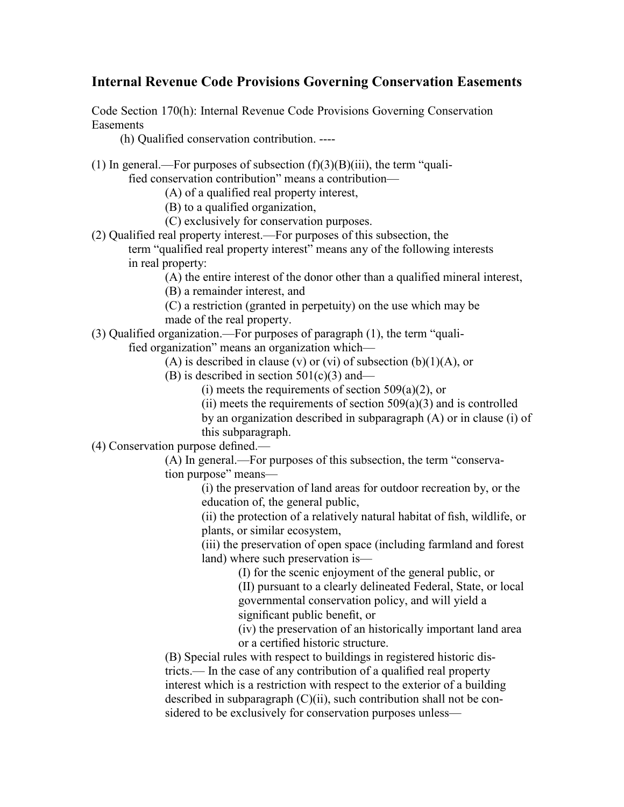## **Internal Revenue Code Provisions Governing Conservation Easements**

Code Section 170(h): Internal Revenue Code Provisions Governing Conservation Easements

(h) Qualified conservation contribution. ----

(1) In general.—For purposes of subsection  $(f)(3)(B)(iii)$ , the term "quali-

fied conservation contribution" means a contribution—

(A) of a qualified real property interest,

(B) to a qualified organization,

(C) exclusively for conservation purposes.

(2) Qualified real property interest.—For purposes of this subsection, the term "qualified real property interest" means any of the following interests

in real property:

(A) the entire interest of the donor other than a qualified mineral interest,

(B) a remainder interest, and

(C) a restriction (granted in perpetuity) on the use which may be

made of the real property.

(3) Qualified organization.—For purposes of paragraph (1), the term "quali-

fied organization" means an organization which—

(A) is described in clause (v) or (vi) of subsection  $(b)(1)(A)$ , or

(B) is described in section  $501(c)(3)$  and—

(i) meets the requirements of section  $509(a)(2)$ , or

(ii) meets the requirements of section  $509(a)(3)$  and is controlled

by an organization described in subparagraph (A) or in clause (i) of this subparagraph.

(4) Conservation purpose defined.—

(A) In general.—For purposes of this subsection, the term "conservation purpose" means—

(i) the preservation of land areas for outdoor recreation by, or the education of, the general public,

(ii) the protection of a relatively natural habitat of fish, wildlife, or plants, or similar ecosystem,

(iii) the preservation of open space (including farmland and forest land) where such preservation is—

(I) for the scenic enjoyment of the general public, or

(II) pursuant to a clearly delineated Federal, State, or local governmental conservation policy, and will yield a significant public benefit, or

(iv) the preservation of an historically important land area or a certified historic structure.

(B) Special rules with respect to buildings in registered historic districts.— In the case of any contribution of a qualified real property interest which is a restriction with respect to the exterior of a building described in subparagraph (C)(ii), such contribution shall not be considered to be exclusively for conservation purposes unless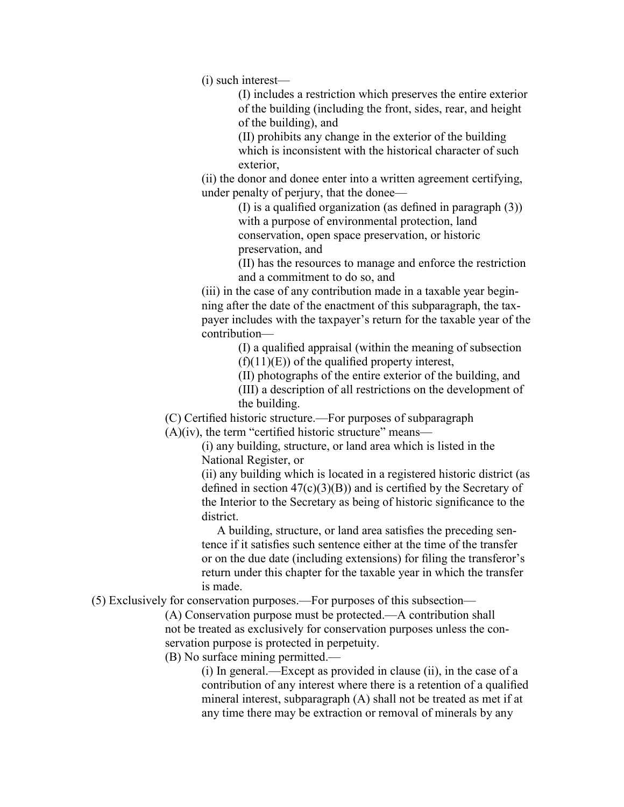(i) such interest—

(I) includes a restriction which preserves the entire exterior of the building (including the front, sides, rear, and height of the building), and

(II) prohibits any change in the exterior of the building which is inconsistent with the historical character of such exterior

(ii) the donor and donee enter into a written agreement certifying, under penalty of perjury, that the donee—

> (I) is a qualified organization (as defined in paragraph (3)) with a purpose of environmental protection, land conservation, open space preservation, or historic preservation, and

(II) has the resources to manage and enforce the restriction and a commitment to do so, and

(iii) in the case of any contribution made in a taxable year beginning after the date of the enactment of this subparagraph, the taxpayer includes with the taxpayer's return for the taxable year of the contribution—

> (I) a qualified appraisal (within the meaning of subsection  $(f)(11)(E)$  of the qualified property interest,

> (II) photographs of the entire exterior of the building, and

(III) a description of all restrictions on the development of the building.

(C) Certified historic structure.—For purposes of subparagraph

 $(A)(iv)$ , the term "certified historic structure" means—

(i) any building, structure, or land area which is listed in the National Register, or

(ii) any building which is located in a registered historic district (as defined in section  $47(c)(3)(B)$  and is certified by the Secretary of the Interior to the Secretary as being of historic significance to the district.

 A building, structure, or land area satisfies the preceding sentence if it satisfies such sentence either at the time of the transfer or on the due date (including extensions) for filing the transferor's return under this chapter for the taxable year in which the transfer is made.

(5) Exclusively for conservation purposes.—For purposes of this subsection—

(A) Conservation purpose must be protected.—A contribution shall not be treated as exclusively for conservation purposes unless the conservation purpose is protected in perpetuity.

(B) No surface mining permitted.—

(i) In general.—Except as provided in clause (ii), in the case of a contribution of any interest where there is a retention of a qualified mineral interest, subparagraph (A) shall not be treated as met if at any time there may be extraction or removal of minerals by any